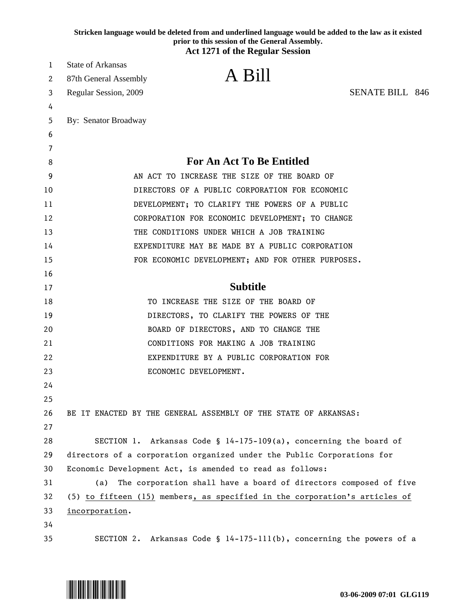|    | prior to this session of the General Assembly.<br><b>Act 1271 of the Regular Session</b> |
|----|------------------------------------------------------------------------------------------|
| 1  | <b>State of Arkansas</b>                                                                 |
| 2  | A Bill<br>87th General Assembly                                                          |
|    | <b>SENATE BILL 846</b><br>Regular Session, 2009                                          |
|    |                                                                                          |
|    | By: Senator Broadway                                                                     |
| 6  |                                                                                          |
|    |                                                                                          |
|    | <b>For An Act To Be Entitled</b>                                                         |
|    | AN ACT TO INCREASE THE SIZE OF THE BOARD OF                                              |
| 10 | DIRECTORS OF A PUBLIC CORPORATION FOR ECONOMIC                                           |
|    | DEVELOPMENT; TO CLARIFY THE POWERS OF A PUBLIC                                           |
| 12 | CORPORATION FOR ECONOMIC DEVELOPMENT; TO CHANGE                                          |
| 13 | THE CONDITIONS UNDER WHICH A JOB TRAINING                                                |
|    | EXPENDITURE MAY BE MADE BY A PUBLIC CORPORATION                                          |
|    | FOR ECONOMIC DEVELOPMENT; AND FOR OTHER PURPOSES.                                        |
|    |                                                                                          |
|    | <b>Subtitle</b>                                                                          |
|    | TO INCREASE THE SIZE OF THE BOARD OF                                                     |
| 19 | DIRECTORS, TO CLARIFY THE POWERS OF THE                                                  |
| 20 | BOARD OF DIRECTORS, AND TO CHANGE THE                                                    |
| 21 | CONDITIONS FOR MAKING A JOB TRAINING                                                     |
| 22 | EXPENDITURE BY A PUBLIC CORPORATION FOR                                                  |
|    | ECONOMIC DEVELOPMENT.                                                                    |
| 24 |                                                                                          |
| 25 |                                                                                          |
| 26 | BE IT ENACTED BY THE GENERAL ASSEMBLY OF THE STATE OF ARKANSAS:                          |
| 27 |                                                                                          |
| 28 | SECTION 1. Arkansas Code § 14-175-109(a), concerning the board of                        |
| 29 | directors of a corporation organized under the Public Corporations for                   |
| 30 | Economic Development Act, is amended to read as follows:                                 |
| 31 | The corporation shall have a board of directors composed of five<br>(a)                  |
| 32 | (5) to fifteen (15) members, as specified in the corporation's articles of               |
| 33 | incorporation.                                                                           |
| 34 |                                                                                          |
| 35 | SECTION 2. Arkansas Code § $14-175-111(b)$ , concerning the powers of a                  |

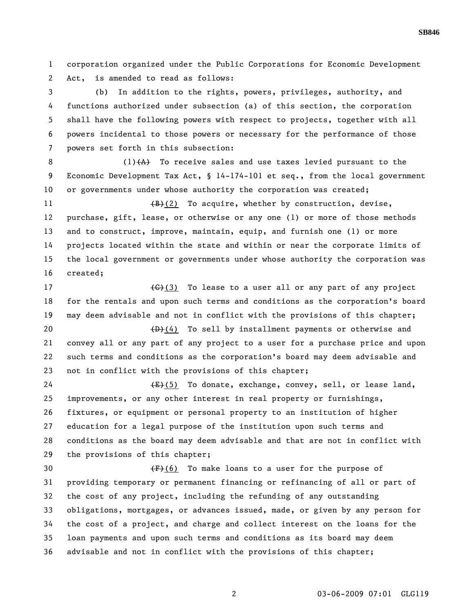1 corporation organized under the Public Corporations for Economic Development 2 Act, is amended to read as follows:

3 (b) In addition to the rights, powers, privileges, authority, and 4 functions authorized under subsection (a) of this section, the corporation 5 shall have the following powers with respect to projects, together with all 6 powers incidental to those powers or necessary for the performance of those 7 powers set forth in this subsection:

8 (1)(A) To receive sales and use taxes levied pursuant to the 9 Economic Development Tax Act, § 14-174-101 et seq., from the local government 10 or governments under whose authority the corporation was created;

11 (B)(2) To acquire, whether by construction, devise, 12 purchase, gift, lease, or otherwise or any one (1) or more of those methods 13 and to construct, improve, maintain, equip, and furnish one (1) or more 14 projects located within the state and within or near the corporate limits of 15 the local government or governments under whose authority the corporation was 16 created;

17 (C)(3) To lease to a user all or any part of any project 18 for the rentals and upon such terms and conditions as the corporation's board 19 may deem advisable and not in conflict with the provisions of this chapter; 20  $(D)+(4)$  To sell by installment payments or otherwise and

21 convey all or any part of any project to a user for a purchase price and upon 22 such terms and conditions as the corporation's board may deem advisable and 23 not in conflict with the provisions of this chapter;

24 (E)(5) To donate, exchange, convey, sell, or lease land, 25 improvements, or any other interest in real property or furnishings, 26 fixtures, or equipment or personal property to an institution of higher 27 education for a legal purpose of the institution upon such terms and 28 conditions as the board may deem advisable and that are not in conflict with 29 the provisions of this chapter;

30  $\left(\frac{F}{F}\right)(6)$  To make loans to a user for the purpose of 31 providing temporary or permanent financing or refinancing of all or part of 32 the cost of any project, including the refunding of any outstanding 33 obligations, mortgages, or advances issued, made, or given by any person for 34 the cost of a project, and charge and collect interest on the loans for the 35 loan payments and upon such terms and conditions as its board may deem 36 advisable and not in conflict with the provisions of this chapter;